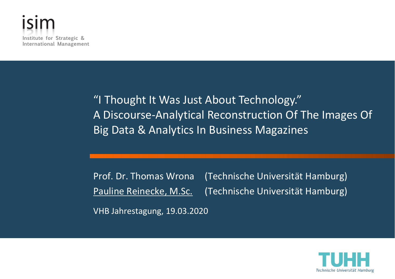

"I Thought It Was Just About Technology." A Discourse-Analytical Reconstruction Of The Images Of Big Data & Analytics In Business Magazines

Prof. Dr. Thomas Wrona (Technische Universität Hamburg) Pauline Reinecke, M.Sc. (Technische Universität Hamburg) VHB Jahrestagung, 19.03.2020

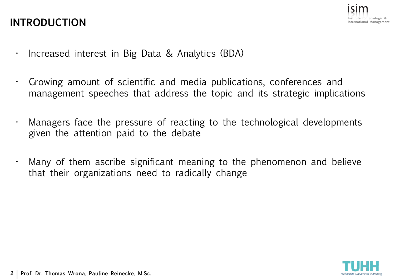### **INTRODUCTION**



- Increased interest in Big Data & Analytics (BDA)
- Growing amount of scientific and media publications, conferences and management speeches that address the topic and its strategic implications
- Managers face the pressure of reacting to the technological developments given the attention paid to the debate
- Many of them ascribe significant meaning to the phenomenon and believe that their organizations need to radically change

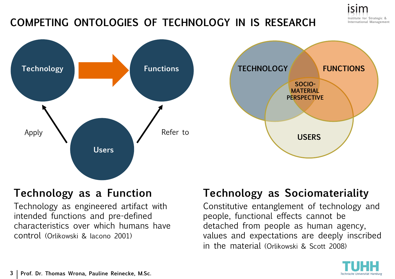

### **COMPETING ONTOLOGIES OF TECHNOLOGY IN IS RESEARCH**





### **Technology as a Function**

Technology as engineered artifact with intended functions and pre-defined characteristics over which humans have control (Orlikowski & Iacono 2001)

### **Technology as Sociomateriality**

Constitutive entanglement of technology and people, functional effects cannot be detached from people as human agency, values and expectations are deeply inscribed in the material (Orlikowski & Scott 2008)

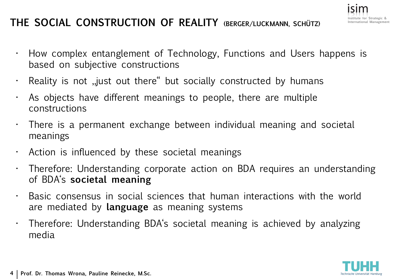### **THE SOCIAL CONSTRUCTION OF REALITY (BERGER/LUCKMANN, SCHÜTZ)**

- How complex entanglement of Technology, Functions and Users happens is based on subjective constructions
- $\cdot$  Reality is not , just out there " but socially constructed by humans
- As objects have different meanings to people, there are multiple constructions
- $\cdot$  There is a permanent exchange between individual meaning and societal meanings
- Action is influenced by these societal meanings
- Therefore: Understanding corporate action on BDA requires an understanding of BDA's **societal meaning**
- Basic consensus in social sciences that human interactions with the world are mediated by **language** as meaning systems
- Therefore: Understanding BDA's societal meaning is achieved by analyzing media

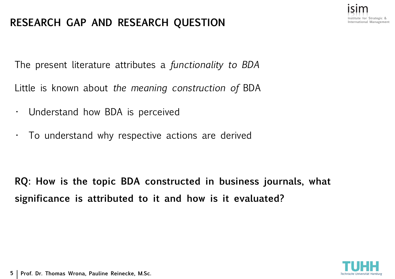### **RESEARCH GAP AND RESEARCH QUESTION**

The present literature attributes a *functionality to BDA* 

Little is known about *the meaning construction of* BDA

- Understand how BDA is perceived
- To understand why respective actions are derived

**RQ: How is the topic BDA constructed in business journals, what significance is attributed to it and how is it evaluated?** 



**Strategic & International Management**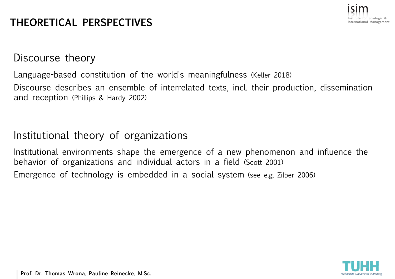

### **THEORETICAL PERSPECTIVES**

Discourse theory

Language-based constitution of the world's meaningfulness (Keller 2018)

Discourse describes an ensemble of interrelated texts, incl. their production, dissemination and reception (Phillips & Hardy 2002)

### Institutional theory of organizations

Institutional environments shape the emergence of a new phenomenon and influence the behavior of organizations and individual actors in a field (Scott 2001) Emergence of technology is embedded in a social system (see e.g. Zilber 2006)



**Prof. Dr. Thomas Wrona, Pauline Reinecke, M.Sc.**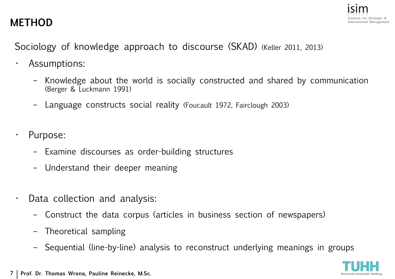### **METHOD**



Sociology of knowledge approach to discourse (SKAD) (Keller 2011, 2013)

- Assumptions:
	- Knowledge about the world is socially constructed and shared by communication (Berger & Luckmann 1991)
	- Language constructs social reality (Foucault 1972, Fairclough 2003)
- Purpose:
	- Examine discourses as order-building structures
	- Understand their deeper meaning
- Data collection and analysis:
	- Construct the data corpus (articles in business section of newspapers)
	- Theoretical sampling
	- Sequential (line-by-line) analysis to reconstruct underlying meanings in groups

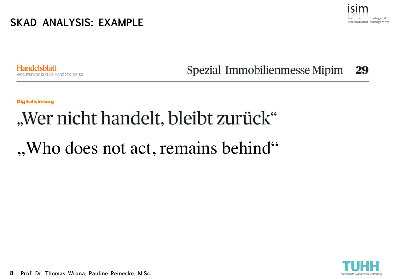**SKAD ANALYSIS: EXAMPLE**



Handelsblatt IENENDE 10./11./12. MÄRZ 2017, NR. 50 Spezial Immobilienmesse Mipim 29

**Digitalisierung** 

# "Wer nicht handelt, bleibt zurück"

## , Who does not act, remains behind"

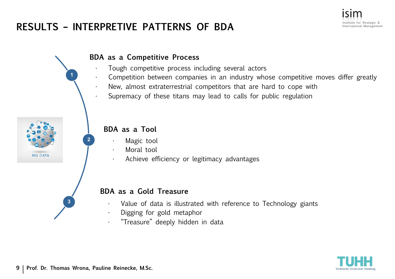### **RESULTS – INTERPRETIVE PATTERNS OF BDA**





- Tough competitive process including several actors
- Competition between companies in an industry whose competitive moves differ greatly
- New, almost extraterrestrial competitors that are hard to cope with
- Supremacy of these titans may lead to calls for public regulation



**1**

**2**

### **BDA as a Tool**

- Magic tool
- Moral tool
- Achieve efficiency or legitimacy advantages

#### **BDA as a Gold Treasure**

- Value of data is illustrated with reference to Technology giants
- Digging for gold metaphor
- "Treasure" deeply hidden in data



**3**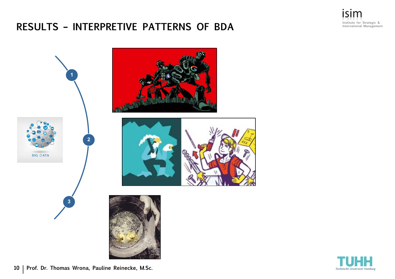## **RESULTS – INTERPRETIVE PATTERNS OF BDA**



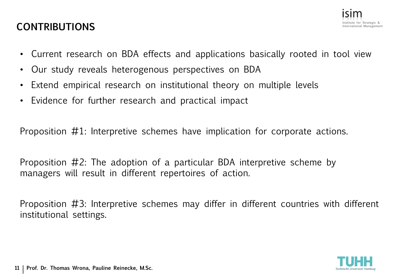### **CONTRIBUTIONS**



- Current research on BDA effects and applications basically rooted in tool view
- Our study reveals heterogenous perspectives on BDA
- Extend empirical research on institutional theory on multiple levels
- Evidence for further research and practical impact

Proposition #1: Interpretive schemes have implication for corporate actions.

Proposition #2: The adoption of a particular BDA interpretive scheme by managers will result in different repertoires of action.

Proposition #3: Interpretive schemes may differ in different countries with different institutional settings.